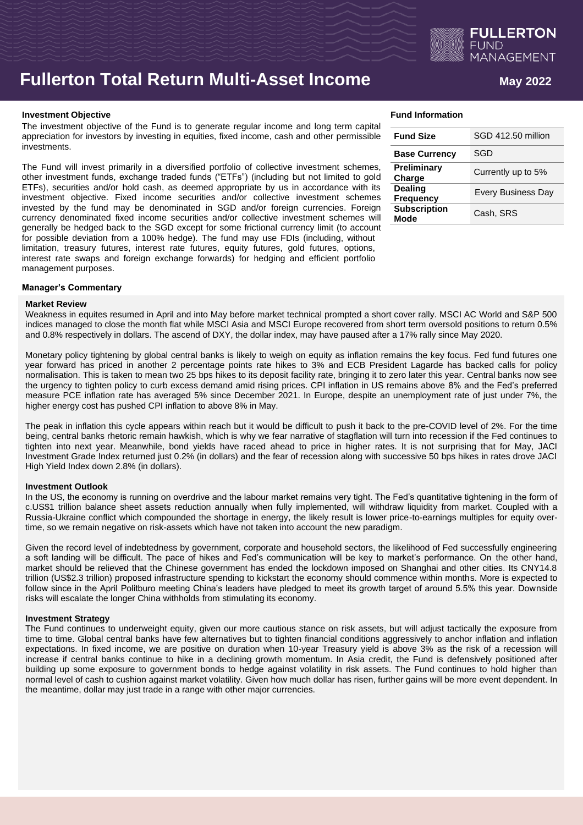

# **Fullerton Total Return Multi-Asset Income**

### **Investment Objective**

The investment objective of the Fund is to generate regular income and long term capital appreciation for investors by investing in equities, fixed income, cash and other permissible investments.

The Fund will invest primarily in a diversified portfolio of collective investment schemes, other investment funds, exchange traded funds ("ETFs") (including but not limited to gold ETFs), securities and/or hold cash, as deemed appropriate by us in accordance with its investment objective. Fixed income securities and/or collective investment schemes invested by the fund may be denominated in SGD and/or foreign currencies. Foreign currency denominated fixed income securities and/or collective investment schemes will generally be hedged back to the SGD except for some frictional currency limit (to account for possible deviation from a 100% hedge). The fund may use FDIs (including, without limitation, treasury futures, interest rate futures, equity futures, gold futures, options, interest rate swaps and foreign exchange forwards) for hedging and efficient portfolio management purposes.

| Fund Information |  |
|------------------|--|
|------------------|--|

| <b>Fund Size</b>                   | SGD 412.50 million        |
|------------------------------------|---------------------------|
| <b>Base Currency</b>               | SGD                       |
| Preliminary<br>Charge              | Currently up to 5%        |
| <b>Dealing</b><br><b>Frequency</b> | <b>Every Business Day</b> |
| <b>Subscription</b><br>Mode        | Cash, SRS                 |

## **Manager's Commentary**

### **Market Review**

Weakness in equites resumed in April and into May before market technical prompted a short cover rally. MSCI AC World and S&P 500 indices managed to close the month flat while MSCI Asia and MSCI Europe recovered from short term oversold positions to return 0.5% and 0.8% respectively in dollars. The ascend of DXY, the dollar index, may have paused after a 17% rally since May 2020.

Monetary policy tightening by global central banks is likely to weigh on equity as inflation remains the key focus. Fed fund futures one year forward has priced in another 2 percentage points rate hikes to 3% and ECB President Lagarde has backed calls for policy normalisation. This is taken to mean two 25 bps hikes to its deposit facility rate, bringing it to zero later this year. Central banks now see the urgency to tighten policy to curb excess demand amid rising prices. CPI inflation in US remains above 8% and the Fed's preferred measure PCE inflation rate has averaged 5% since December 2021. In Europe, despite an unemployment rate of just under 7%, the higher energy cost has pushed CPI inflation to above 8% in May.

The peak in inflation this cycle appears within reach but it would be difficult to push it back to the pre-COVID level of 2%. For the time being, central banks rhetoric remain hawkish, which is why we fear narrative of stagflation will turn into recession if the Fed continues to tighten into next year. Meanwhile, bond yields have raced ahead to price in higher rates. It is not surprising that for May, JACI Investment Grade Index returned just 0.2% (in dollars) and the fear of recession along with successive 50 bps hikes in rates drove JACI High Yield Index down 2.8% (in dollars).

## **Investment Outlook**

In the US, the economy is running on overdrive and the labour market remains very tight. The Fed's quantitative tightening in the form of c.US\$1 trillion balance sheet assets reduction annually when fully implemented, will withdraw liquidity from market. Coupled with a Russia-Ukraine conflict which compounded the shortage in energy, the likely result is lower price-to-earnings multiples for equity overtime, so we remain negative on risk-assets which have not taken into account the new paradigm.

Given the record level of indebtedness by government, corporate and household sectors, the likelihood of Fed successfully engineering a soft landing will be difficult. The pace of hikes and Fed's communication will be key to market's performance. On the other hand, market should be relieved that the Chinese government has ended the lockdown imposed on Shanghai and other cities. Its CNY14.8 trillion (US\$2.3 trillion) proposed infrastructure spending to kickstart the economy should commence within months. More is expected to follow since in the April Politburo meeting China's leaders have pledged to meet its growth target of around 5.5% this year. Downside risks will escalate the longer China withholds from stimulating its economy.

## **Investment Strategy**

The Fund continues to underweight equity, given our more cautious stance on risk assets, but will adjust tactically the exposure from time to time. Global central banks have few alternatives but to tighten financial conditions aggressively to anchor inflation and inflation expectations. In fixed income, we are positive on duration when 10-year Treasury yield is above 3% as the risk of a recession will increase if central banks continue to hike in a declining growth momentum. In Asia credit, the Fund is defensively positioned after building up some exposure to government bonds to hedge against volatility in risk assets. The Fund continues to hold higher than normal level of cash to cushion against market volatility. Given how much dollar has risen, further gains will be more event dependent. In the meantime, dollar may just trade in a range with other major currencies.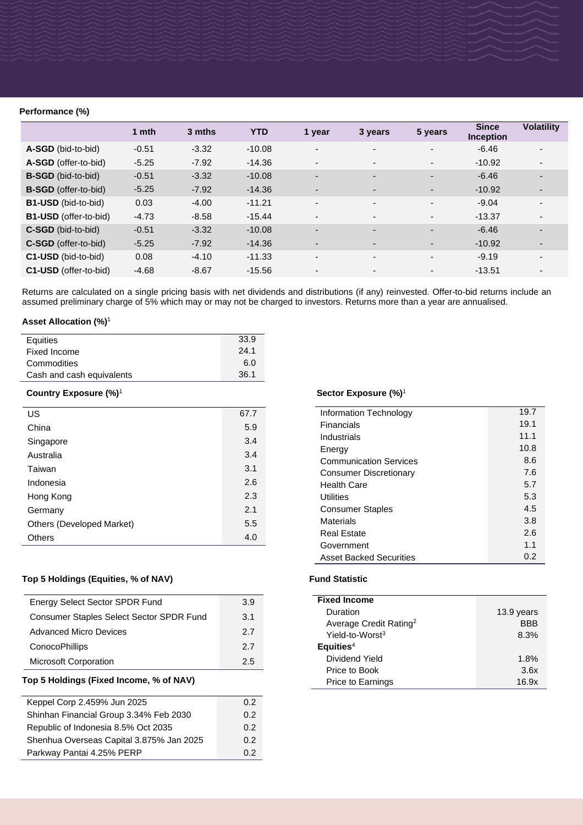## **Performance (%)**

|                              | 1 mth   | 3 mths  | <b>YTD</b> | 1 year                   | 3 years                  | 5 years                  | <b>Since</b><br><b>Inception</b> | <b>Volatility</b>        |
|------------------------------|---------|---------|------------|--------------------------|--------------------------|--------------------------|----------------------------------|--------------------------|
| A-SGD (bid-to-bid)           | $-0.51$ | $-3.32$ | $-10.08$   | $\overline{\phantom{a}}$ | $\overline{\phantom{a}}$ | $\overline{\phantom{a}}$ | $-6.46$                          | $\overline{\phantom{a}}$ |
| A-SGD (offer-to-bid)         | $-5.25$ | $-7.92$ | $-14.36$   | $\overline{\phantom{a}}$ | $\overline{\phantom{a}}$ | $\blacksquare$           | $-10.92$                         | $\blacksquare$           |
| <b>B-SGD</b> (bid-to-bid)    | $-0.51$ | $-3.32$ | $-10.08$   | $\overline{\phantom{0}}$ | $\overline{\phantom{a}}$ | $\blacksquare$           | $-6.46$                          | $\overline{\phantom{0}}$ |
| <b>B-SGD</b> (offer-to-bid)  | $-5.25$ | $-7.92$ | $-14.36$   | $\overline{\phantom{a}}$ | $\overline{\phantom{a}}$ | ۰.                       | $-10.92$                         | ٠                        |
| <b>B1-USD</b> (bid-to-bid)   | 0.03    | $-4.00$ | $-11.21$   | $\overline{\phantom{a}}$ | $\overline{\phantom{a}}$ | $\overline{\phantom{a}}$ | $-9.04$                          | $\blacksquare$           |
| <b>B1-USD</b> (offer-to-bid) | $-4.73$ | $-8.58$ | $-15.44$   | $\overline{\phantom{a}}$ | $\overline{\phantom{a}}$ | $\overline{\phantom{a}}$ | $-13.37$                         |                          |
| <b>C-SGD</b> (bid-to-bid)    | $-0.51$ | $-3.32$ | $-10.08$   | $\overline{\phantom{a}}$ | $\overline{\phantom{a}}$ | ۰.                       | $-6.46$                          | $\overline{\phantom{0}}$ |
| <b>C-SGD</b> (offer-to-bid)  | $-5.25$ | $-7.92$ | $-14.36$   | $\overline{\phantom{a}}$ | $\overline{\phantom{a}}$ | ۰.                       | $-10.92$                         | ٠                        |
| C1-USD (bid-to-bid)          | 0.08    | $-4.10$ | $-11.33$   | $\overline{\phantom{a}}$ | $\overline{\phantom{a}}$ | ۰.                       | $-9.19$                          | $\overline{\phantom{a}}$ |
| C1-USD (offer-to-bid)        | $-4.68$ | $-8.67$ | $-15.56$   | $\overline{\phantom{a}}$ | $\overline{\phantom{a}}$ | $\blacksquare$           | $-13.51$                         | $\overline{\phantom{a}}$ |

Returns are calculated on a single pricing basis with net dividends and distributions (if any) reinvested. Offer-to-bid returns include an assumed preliminary charge of 5% which may or may not be charged to investors. Returns more than a year are annualised.

## **Asset Allocation (%)**<sup>1</sup>

| Equities                          | 33.9 |
|-----------------------------------|------|
| Fixed Income                      | 24.1 |
| Commodities                       | 6.0  |
| Cash and cash equivalents         | 36.1 |
| Country Exposure (%) <sup>1</sup> |      |
| US                                | 67.7 |
| China                             | 5.9  |
| Singapore                         | 3.4  |
| Australia                         | 3.4  |

| Singapore                 | 3.4 |
|---------------------------|-----|
| Australia                 | 3.4 |
| Taiwan                    | 3.1 |
| Indonesia                 | 2.6 |
| Hong Kong                 | 2.3 |
| Germany                   | 2.1 |
| Others (Developed Market) | 5.5 |
| <b>Others</b>             | 4.0 |

## Top 5 Holdings (Equities, % of NAV) Fund Statistic

| <b>Energy Select Sector SPDR Fund</b>    | 3.9 |
|------------------------------------------|-----|
| Consumer Staples Select Sector SPDR Fund | 3.1 |
| Advanced Micro Devices                   | 27  |
| ConocoPhillips                           | 27  |
| <b>Microsoft Corporation</b>             | 25  |
|                                          |     |

## **Top 5 Holdings (Fixed Income, % of NAV)**

| Keppel Corp 2.459% Jun 2025              | 0.2           |
|------------------------------------------|---------------|
| Shinhan Financial Group 3.34% Feb 2030   | $0.2^{\circ}$ |
| Republic of Indonesia 8.5% Oct 2035      | $0.2^{\circ}$ |
| Shenhua Overseas Capital 3.875% Jan 2025 | $0.2^{\circ}$ |
| Parkway Pantai 4.25% PERP                | 02            |

## **Sector Exposure (%)**<sup>1</sup>

| Information Technology         | 19.7 |
|--------------------------------|------|
| Financials                     | 19.1 |
| Industrials                    | 11.1 |
| Energy                         | 10.8 |
| <b>Communication Services</b>  | 8.6  |
| Consumer Discretionary         | 7.6  |
| <b>Health Care</b>             | 5.7  |
| Utilities                      | 5.3  |
| <b>Consumer Staples</b>        | 4.5  |
| Materials                      | 3.8  |
| Real Estate                    | 2.6  |
| Government                     | 1.1  |
| <b>Asset Backed Securities</b> | 0.2  |

| <b>Fixed Income</b>                |            |
|------------------------------------|------------|
| Duration                           | 13.9 years |
| Average Credit Rating <sup>2</sup> | <b>BBB</b> |
| Yield-to-Worst <sup>3</sup>        | 8.3%       |
| Equities <sup>4</sup>              |            |
| Dividend Yield                     | 1.8%       |
| Price to Book                      | 3.6x       |
| <b>Price to Earnings</b>           | 16.9x      |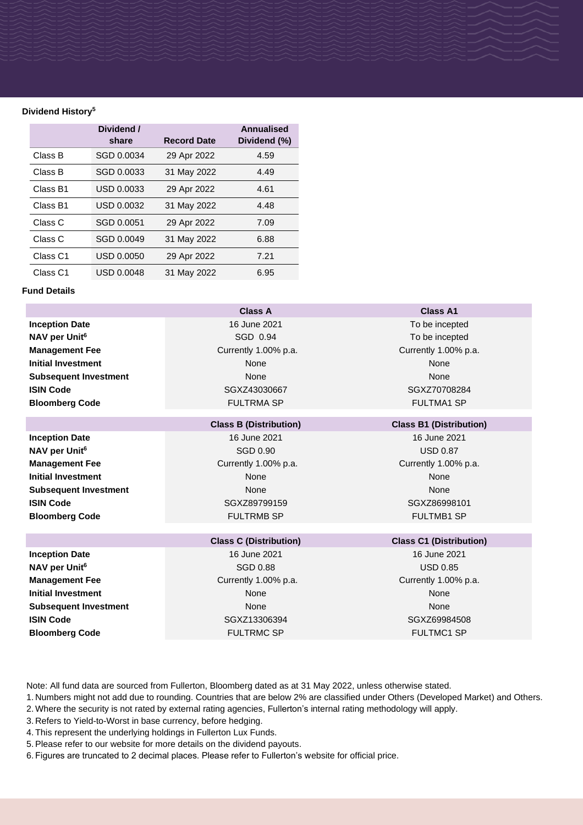## **Dividend History<sup>5</sup>**

|                     | Dividend /<br>share | <b>Record Date</b> | <b>Annualised</b><br>Dividend (%) |
|---------------------|---------------------|--------------------|-----------------------------------|
| Class B             | SGD 0.0034          | 29 Apr 2022        | 4.59                              |
| Class B             | SGD 0.0033          | 31 May 2022        | 4.49                              |
| Class B1            | USD 0.0033          | 29 Apr 2022        | 4.61                              |
| Class B1            | USD 0.0032          | 31 May 2022        | 4.48                              |
| Class C             | SGD 0.0051          | 29 Apr 2022        | 7.09                              |
| Class C             | SGD 0.0049          | 31 May 2022        | 6.88                              |
| Class <sub>C1</sub> | USD 0.0050          | 29 Apr 2022        | 7.21                              |
| Class C1            | USD 0.0048          | 31 May 2022        | 6.95                              |

## **Fund Details**

|                              | Class A                       | <b>Class A1</b>                |
|------------------------------|-------------------------------|--------------------------------|
| <b>Inception Date</b>        | 16 June 2021                  | To be incepted                 |
| NAV per Unit <sup>6</sup>    | SGD 0.94                      | To be incepted                 |
| <b>Management Fee</b>        | Currently 1.00% p.a.          | Currently 1.00% p.a.           |
| <b>Initial Investment</b>    | None                          | None                           |
| <b>Subsequent Investment</b> | None                          | None                           |
| <b>ISIN Code</b>             | SGXZ43030667                  | SGXZ70708284                   |
| <b>Bloomberg Code</b>        | <b>FULTRMA SP</b>             | <b>FULTMA1 SP</b>              |
|                              |                               |                                |
|                              | <b>Class B (Distribution)</b> | <b>Class B1 (Distribution)</b> |
| <b>Inception Date</b>        | 16 June 2021                  | 16 June 2021                   |
| NAV per Unit <sup>6</sup>    | SGD 0.90                      | <b>USD 0.87</b>                |

**Management Fee** Currently 1.00% p.a. Currently 1.00% p.a. Currently 1.00% p.a. **Initial Investment** None None None None None None **Subsequent Investment** None None None None None None **ISIN Code** SGXZ89799159 SGXZ89799159 SGXZ86998101 **Bloomberg Code** FULTRMB SP FULTRMB SP FULTMB1 SP

**Inception Date** 16 June 2021 16 June 2021 16 June 2021 16 June 2021 16 June 2021 **NAV per Unit<sup>6</sup> USD 0.85** USD 0.85 **Management Fee** Currently 1.00% p.a. Currently 1.00% p.a. Currently 1.00% p.a. **Initial Investment** None None None None None **Subsequent Investment** None None None None None None **ISIN Code** SGXZ13306394 SGXZ13306394 SGXZ69984508

**Bloomberg Code The Code Research SP FULTRMC SP FULTMC1 SP FULTMC1 SP** 

## **Class C (Distribution) Class C1 (Distribution)**

Note: All fund data are sourced from Fullerton, Bloomberg dated as at 31 May 2022, unless otherwise stated.

- 1. Numbers might not add due to rounding. Countries that are below 2% are classified under Others (Developed Market) and Others.
- 2. Where the security is not rated by external rating agencies, Fullerton's internal rating methodology will apply.
- 3. Refers to Yield-to-Worst in base currency, before hedging.
- 4. This represent the underlying holdings in Fullerton Lux Funds.
- 5.Please refer to our website for more details on the dividend payouts.
- 6. Figures are truncated to 2 decimal places. Please refer to Fullerton's website for official price.